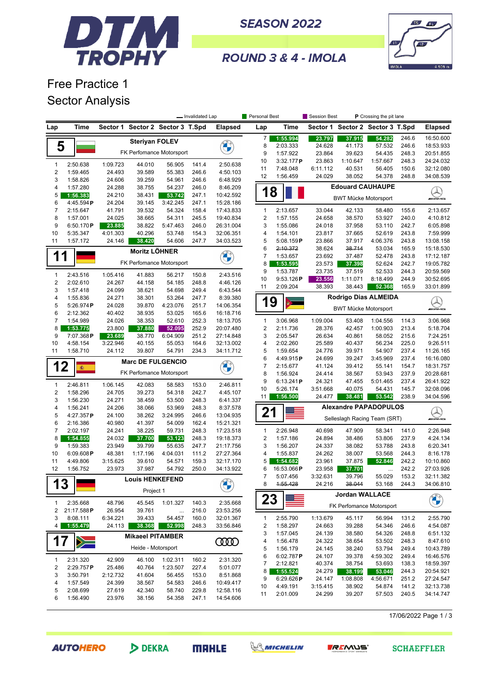

**SEASON 2022** 



ROUND 3 & 4 - IMOLA

## Free Practice 1 Sector Analysis

|                         |                       |          |                                              |                          | - Invalidated Lap |                                 | Personal Best           |                       | <b>Session Best</b> |                              | P Crossing the pit lane |                |                          |
|-------------------------|-----------------------|----------|----------------------------------------------|--------------------------|-------------------|---------------------------------|-------------------------|-----------------------|---------------------|------------------------------|-------------------------|----------------|--------------------------|
| Lap                     | Time                  | Sector 1 |                                              | Sector 2 Sector 3 T.Spd  |                   | Elapsed                         | Lap                     | Time                  | Sector 1            |                              | Sector 2 Sector 3 T.Spd |                | <b>Elapsed</b>           |
|                         |                       |          | <b>Steriyan FOLEV</b>                        |                          |                   |                                 | $\overline{7}$          | 1:55.994              | 23.797              | 37.915                       | 54.282                  | 246.6          | 16:50.600                |
| 5                       |                       |          |                                              |                          |                   | <b>CALCIO</b>                   | 8                       | 2:03.333              | 24.628              | 41.173                       | 57.532                  | 246.6          | 18:53.933                |
|                         |                       |          |                                              | FK Perfomance Motorsport |                   |                                 | 9                       | 1:57.922              | 23.864              | 39.623                       | 54.435                  | 248.3          | 20:51.855                |
| $\mathbf{1}$            | 2:50.638              | 1:09.723 | 44.010                                       | 56.905                   | 141.4             | 2:50.638                        | 10                      | 3:32.177P             | 23.863              | 1:10.647                     | 1:57.667                | 248.3          | 24:24.032                |
| $\sqrt{2}$              | 1:59.465              | 24.493   | 39.589                                       | 55.383                   | 246.6             | 4:50.103                        | 11                      | 7:48.048              | 6:11.112            | 40.531                       | 56.405                  | 150.6          | 32:12.080                |
| 3                       | 1:58.826              | 24.606   | 39.259                                       | 54.961                   | 246.6             | 6:48.929                        | 12                      | 1:56.459              | 24.029              | 38.052                       | 54.378                  | 248.8          | 34:08.539                |
| 4                       | 1:57.280              | 24.288   | 38.755                                       | 54.237                   | 246.0             | 8:46.209                        |                         |                       |                     | <b>Edouard CAUHAUPE</b>      |                         |                |                          |
| 5                       | 1:56.383              | 24.210   | 38.431                                       | 53.742                   | 247.1             | 10:42.592                       | 1                       | 8                     |                     |                              |                         |                | $\mathbb{Q}$             |
| 6                       | 4:45.594P             | 24.204   | 39.145                                       | 3:42.245                 | 247.1             | 15:28.186                       |                         |                       |                     | <b>BWT Mücke Motorsport</b>  |                         |                | <b><i>INNE</i></b>       |
| $\boldsymbol{7}$        | 2:15.647              | 41.791   | 39.532                                       | 54.324                   | 158.4             | 17:43.833                       | $\mathbf{1}$            | 2:13.657              | 33.044              | 42.133                       | 58.480                  | 155.6          | 2:13.657                 |
| 8                       | 1:57.001              | 24.025   | 38.665                                       | 54.311                   | 245.5             | 19:40.834                       | $\overline{2}$          | 1:57.155              | 24.658              | 38.570                       | 53.927                  | 240.0          | 4:10.812                 |
| 9                       | 6:50.170P             | 23.885   | 38.822                                       | 5:47.463                 | 246.0             | 26:31.004                       | 3                       | 1:55.086              | 24.018              | 37.958                       | 53.110                  | 242.7          | 6:05.898                 |
| 10                      | 5:35.347              | 4:01.303 | 40.296                                       | 53.748                   | 154.3             | 32:06.351                       | 4                       | 1:54.101              | 23.817              | 37.665                       | 52.619                  | 243.8          | 7:59.999                 |
| 11                      | 1:57.172              | 24.146   | 38.420                                       | 54.606                   | 247.7             | 34:03.523                       | 5                       | 5:08.159P             | 23.866              | 37.917                       | 4:06.376                | 243.8          | 13:08.158                |
|                         |                       |          | <b>Moritz LÖHNER</b>                         |                          |                   |                                 | 6                       | 2:10.372              | 38.624              | 38.714                       | 53.034                  | 165.9          | 15:18.530                |
| 1                       |                       |          |                                              |                          |                   | <b>CARL CARL CARL CARL CARL</b> | $\overline{7}$          | 1:53.657              | 23.692              | 37.487                       | 52.478                  | 243.8          | 17:12.187                |
|                         |                       |          |                                              | FK Perfomance Motorsport |                   |                                 | 8                       | 1:53.595              | 23.573              | 37.398                       | 52.624                  | 242.7          | 19:05.782                |
| $\mathbf{1}$            | 2:43.516              | 1:05.416 | 41.883                                       | 56.217                   | 150.8             | 2:43.516                        | 9                       | 1:53.787              | 23.735              | 37.519                       | 52.533                  | 244.3          | 20:59.569                |
| $\sqrt{2}$              | 2:02.610              | 24.267   | 44.158                                       | 54.185                   | 248.8             | 4:46.126                        | 10                      | 9:53.126P             | 23.556              | 1:11.071                     | 8:18.499                | 244.9          | 30:52.695                |
| 3                       | 1:57.418              | 24.099   | 38.621                                       | 54.698                   | 249.4             | 6:43.544                        | 11                      | 2:09.204              | 38.393              | 38.443                       | 52.368                  | 165.9          | 33:01.899                |
| 4                       | 1:55.836              | 24.271   | 38.301                                       | 53.264                   | 247.7             | 8:39.380                        |                         |                       |                     | Rodrigo Dias ALMEIDA         |                         |                |                          |
| 5                       | 5:26.974P             | 24.028   | 39.870                                       | 4:23.076                 | 251.7             | 14:06.354                       |                         | 19<br>红               |                     | <b>BWT Mücke Motorsport</b>  |                         |                | <u>Q</u>                 |
| 6                       | 2:12.362              | 40.402   | 38.935                                       | 53.025                   | 165.6             | 16:18.716                       |                         |                       |                     |                              |                         |                |                          |
| $\overline{7}$          | 1:54.989              | 24.026   | 38.353                                       | 52.610                   | 252.3             | 18:13.705                       | $\mathbf{1}$            | 3:06.968              | 1:09.004            | 53.408                       | 1:04.556                | 114.3          | 3:06.968                 |
| 8                       | 1:53.775              | 23.800   | 37.880                                       | 52.095                   | 252.9             | 20:07.480                       | $\sqrt{2}$              | 2:11.736              | 28.376              | 42.457                       | 1:00.903                | 213.4          | 5:18.704                 |
| 9                       | 7:07.368P             | 23.689   | 38.770                                       | 6:04.909                 | 251.2             | 27:14.848                       | 3                       | 2:05.547              | 26.634              | 40.861                       | 58.052                  | 215.6          | 7:24.251                 |
| 10                      | 4:58.154              | 3:22.946 | 40.155                                       | 55.053                   | 164.6             | 32:13.002                       | 4                       | 2:02.260              | 25.589              | 40.437                       | 56.234                  | 225.0          | 9:26.511                 |
| 11                      | 1:58.710              | 24.112   | 39.807                                       | 54.791                   | 234.3             | 34:11.712                       | 5<br>6                  | 1:59.654<br>4:49.915P | 24.776<br>24.699    | 39.971<br>39.247             | 54.907<br>3:45.969      | 237.4<br>237.4 | 11:26.165<br>16:16.080   |
| 12                      |                       |          |                                              | <b>Marc DE FULGENCIO</b> |                   | <b>BARK</b>                     | $\overline{7}$          | 2:15.677              | 41.124              | 39.412                       | 55.141                  | 154.7          | 18:31.757                |
|                         | 癫                     |          |                                              | FK Perfomance Motorsport |                   |                                 | 8                       | 1:56.924              | 24.414              | 38.567                       | 53.943                  | 237.9          | 20:28.681                |
|                         |                       |          |                                              |                          |                   |                                 | 9                       | 6:13.241P             | 24.321              | 47.455                       | 5:01.465                | 237.4          | 26:41.922                |
| $\mathbf{1}$            | 2:46.811              | 1:06.145 | 42.083                                       | 58.583                   | 153.0             | 2:46.811                        | 10                      | 5:26.174              | 3:51.668            | 40.075                       | 54.431                  | 145.7          | 32:08.096                |
| $\sqrt{2}$              | 1:58.296              | 24.705   | 39.273                                       | 54.318                   | 242.7             | 4:45.107                        | 11                      | 1:56.500              | 24.477              | 38.481                       | 53.542                  | 238.9          | 34:04.596                |
| 3                       | 1:56.230              | 24.271   | 38.459                                       | 53.500                   | 248.3             | 6:41.337<br>8:37.578            |                         |                       |                     | <b>Alexandre PAPADOPULOS</b> |                         |                |                          |
| 4<br>5                  | 1:56.241<br>4:27.357P | 24.100   | 24.206<br>38.066<br>53.969<br>248.3<br>246.6 |                          |                   |                                 | 21                      |                       |                     |                              |                         |                | $\bigotimes_{m\equiv m}$ |
| 6                       | 2:16.386              | 40.980   | 38.262<br>41.397                             | 3:24.995<br>54.009       | 162.4             | 13:04.935<br>15:21.321          |                         |                       |                     | Selleslagh Racing Team (SRT) |                         |                |                          |
| 7                       | 2:02.197              | 24.241   | 38.225                                       | 59.731                   | 248.3             | 17:23.518                       | $\mathbf{1}$            | 2:26.948              | 40.698              | 47.909                       | 58.341                  | 141.0          | 2:26.948                 |
| 8                       | 1:54.855              | 24.032   | 37.700                                       | 53.123                   | 248.3             | 19:18.373                       | $\sqrt{2}$              | 1:57.186              | 24.894              | 38.486                       | 53.806                  | 237.9          | 4:24.134                 |
| 9                       | 1:59.383              | 23.949   | 39.799                                       | 55.635                   | 247.7             | 21:17.756                       | 3                       | 1:56.207              | 24.337              | 38.082                       | 53.788                  | 243.8          | 6:20.341                 |
| 10                      | 6:09.608P             | 48.381   | 1:17.196                                     | 4:04.031                 | 111.2             | 27:27.364                       | 4                       | 1:55.837              | 24.262              | 38.007                       | 53.568                  | 244.3          | 8:16.178                 |
| 11                      | 4:49.806              | 3:15.625 | 39.610                                       | 54.571                   | 159.3             | 32:17.170                       | 5                       | 1:54.682              | 23.961              | 37.875                       | 52.846                  | 242.2          | 10:10.860                |
| 12                      | 1:56.752              | 23.973   | 37.987                                       | 54.792                   | 250.0             | 34:13.922                       | 6                       | 16:53.066P            | 23.958              | 37.701                       | $\cdots$                | 242.2          | 27:03.926                |
|                         |                       |          | <b>Louis HENKEFEND</b>                       |                          |                   |                                 | $\boldsymbol{7}$        | 5:07.456              | 3:32.631            | 39.796                       | 55.029                  | 153.2          | 32:11.382                |
| 13                      |                       |          |                                              |                          |                   | <b>CALCON</b>                   | 8                       | 4:55.428              | 24.216              | 38.044                       | 53.168                  | 244.3          | 34:06.810                |
|                         |                       |          | Project 1                                    |                          |                   |                                 |                         |                       |                     | <b>Jordan WALLACE</b>        |                         |                |                          |
| $\mathbf{1}$            | 2:35.668              | 48.796   | 45.545                                       | 1:01.327                 | 140.3             | 2:35.668                        | 23                      |                       |                     | FK Perfomance Motorsport     |                         |                | <b>CALCON</b>            |
| $\overline{\mathbf{c}}$ | 21:17.588P            | 26.954   | 39.761                                       |                          | 216.0             | 23:53.256                       |                         |                       |                     |                              |                         |                |                          |
| 3                       | 8:08.111              | 6:34.221 | 39.433                                       | 54.457                   | 160.0             | 32:01.367                       | $\mathbf{1}$            | 2:55.790              | 1:13.679            | 45.117                       | 56.994                  | 131.2          | 2:55.790                 |
| 4                       | 1:55.479              | 24.113   | 38.368                                       | 52.998                   | 248.3             | 33:56.846                       | $\overline{\mathbf{c}}$ | 1:58.297              | 24.663              | 39.288                       | 54.346                  | 246.6          | 4:54.087                 |
|                         |                       |          | <b>Mikaeel PITAMBER</b>                      |                          |                   |                                 | 3                       | 1:57.045              | 24.139              | 38.580                       | 54.326                  | 248.8          | 6:51.132                 |
| 17                      | $\geq$                |          |                                              |                          |                   | <b>COOD</b>                     | 4                       | 1:56.478              | 24.322              | 38.654                       | 53.502                  | 248.3          | 8:47.610                 |
|                         |                       |          | Heide - Motorsport                           |                          |                   |                                 | 5                       | 1:56.179              | 24.145              | 38.240                       | 53.794                  | 249.4          | 10:43.789                |
| $\mathbf{1}$            | 2:31.320              | 42.909   | 46.100                                       | 1:02.311                 | 160.2             | 2:31.320                        | 6                       | 6:02.787P             | 24.107              | 39.378                       | 4:59.302                | 249.4          | 16:46.576                |
| 2                       | 2:29.757P             | 25.486   | 40.764                                       | 1:23.507                 | 227.4             | 5:01.077                        | 7                       | 2:12.821              | 40.374              | 38.754                       | 53.693                  | 138.3          | 18:59.397                |
| 3                       | 3:50.791              | 2:12.732 | 41.604                                       | 56.455                   | 153.0             | 8:51.868                        | 8                       | 1:55.524              | 24.279              | 38.199                       | 53.046                  | 244.3          | 20:54.921                |
| 4                       | 1:57.549              | 24.399   | 38.567                                       | 54.583                   | 246.6             | 10:49.417                       | 9                       | 6:29.626P             | 24.147              | 1:08.808                     | 4:56.671                | 251.2          | 27:24.547                |
| 5                       | 2:08.699              | 27.619   | 42.340                                       | 58.740                   | 229.8             | 12:58.116                       | 10<br>11                | 4:49.191<br>2:01.009  | 3:15.415<br>24.299  | 38.902<br>39.207             | 54.874<br>57.503        | 141.2<br>240.5 | 32:13.738<br>34:14.747   |
| 6                       | 1:56.490              | 23.976   | 38.156                                       | 54.358                   | 247.1             | 14:54.606                       |                         |                       |                     |                              |                         |                |                          |

17/06/2022 Page 1 / 3







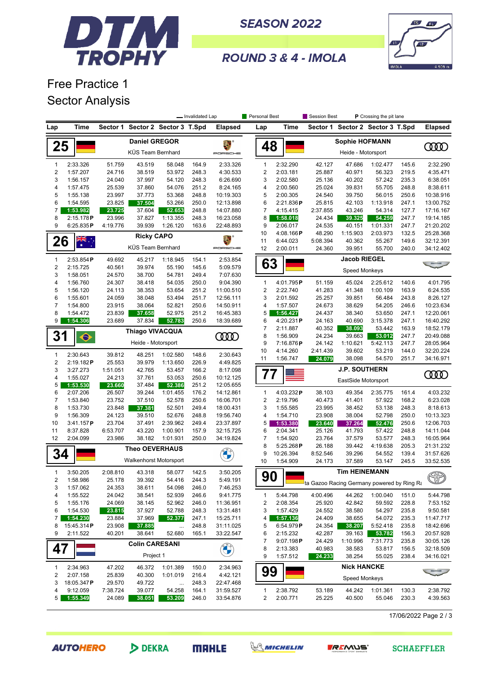

**SEASON 2022** 



ROUND 3 & 4 - IMOLA

## Free Practice 1 Sector Analysis

|                         |                       |                  |                        |                         | - Invalidated Lap |                      | Personal Best                |                       | Session Best                               |                                  | <b>P</b> Crossing the pit lane |                |                        |
|-------------------------|-----------------------|------------------|------------------------|-------------------------|-------------------|----------------------|------------------------------|-----------------------|--------------------------------------------|----------------------------------|--------------------------------|----------------|------------------------|
| Lap                     | Time                  | Sector 1         |                        | Sector 2 Sector 3 T.Spd |                   | <b>Elapsed</b>       | Lap                          | Time                  |                                            | Sector 1 Sector 2 Sector 3 T.Spd |                                |                | <b>Elapsed</b>         |
|                         |                       |                  | <b>Daniel GREGOR</b>   |                         |                   |                      |                              |                       |                                            | <b>Sophie HOFMANN</b>            |                                |                |                        |
| 25                      |                       |                  | KÜS Team Bernhard      |                         |                   | PORSCHE              | 48                           |                       |                                            | Heide - Motorsport               |                                |                | ŒŒ                     |
| 1                       | 2:33.326              | 51.759           | 43.519                 | 58.048                  | 164.9             | 2:33.326             | $\mathbf{1}$                 | 2:32.290              | 42.127                                     | 47.686                           | 1:02.477                       | 145.6          | 2:32.290               |
| $\overline{2}$          | 1:57.207              | 24.716           | 38.519                 | 53.972                  | 248.3             | 4:30.533             | $\sqrt{2}$                   | 2:03.181              | 25.887                                     | 40.971                           | 56.323                         | 219.5          | 4:35.471               |
| 3                       | 1:56.157              | 24.040           | 37.997                 | 54.120                  | 248.3             | 6:26.690             | 3                            | 2:02.580              | 25.136                                     | 40.202                           | 57.242                         | 235.3          | 6:38.051               |
| 4                       | 1:57.475              | 25.539           | 37.860                 | 54.076                  | 251.2             | 8:24.165             | 4                            | 2:00.560              | 25.024                                     | 39.831                           | 55.705                         | 248.8          | 8:38.611               |
| 5                       | 1:55.138              | 23.997           | 37.773                 | 53.368                  | 248.8             | 10:19.303            | 5                            | 2:00.305              | 24.540                                     | 39.750                           | 56.015                         | 250.6          | 10:38.916              |
| 6                       | 1:54.595              | 23.825           | 37.504                 | 53.266                  | 250.0             | 12:13.898            | 6                            | 2:21.836P             | 25.815                                     | 42.103                           | 1:13.918                       | 247.1          | 13:00.752              |
| $\overline{7}$          | 1:53.982              | 23.725           | 37.604                 | 52.653                  | 248.8             | 14:07.880            | $\overline{7}$               | 4:15.415              | 2:37.855                                   | 43.246                           | 54.314                         | 127.7          | 17:16.167              |
| 8                       | 2:15.178P             | 23.996           | 37.827                 | 1:13.355                | 248.3             | 16:23.058            | 8                            | 1:58.018              | 24.434                                     | 39.325                           | 54.259                         | 247.7          | 19:14.185              |
| 9                       | 6:25.835P             | 4:19.776         | 39.939                 | 1:26.120                | 163.6             | 22:48.893            | 9                            | 2:06.017              | 24.535                                     | 40.151                           | 1:01.331                       | 247.7          | 21:20.202              |
|                         |                       |                  | <b>Ricky CAPO</b>      |                         |                   | E.                   | 10                           | 4:08.166P             | 48.290                                     | 1:15.903                         | 2:03.973                       | 132.5          | 25:28.368              |
| 26                      | ैं<br>राज्य           |                  | KÜS Team Bernhard      |                         |                   | PORSCHE              | 11<br>12                     | 6:44.023              | 5:08.394<br>40.362<br>55.267<br>149.6      |                                  |                                | 32:12.391      |                        |
|                         |                       |                  |                        |                         |                   |                      |                              | 2:00.011              | 24.360                                     | 39.951<br><b>Jacob RIEGEL</b>    | 55.700                         | 240.0          | 34:12.402              |
| 1<br>$\overline{2}$     | 2:53.854P<br>2:15.725 | 49.692<br>40.561 | 45.217<br>39.974       | 1:18.945<br>55.190      | 154.1<br>145.6    | 2:53.854<br>5:09.579 | 63                           |                       |                                            |                                  |                                |                |                        |
| 3                       | 1:58.051              | 24.570           | 38.700                 | 54.781                  | 249.4             | 7:07.630             |                              |                       |                                            | Speed Monkeys                    |                                |                |                        |
| 4                       | 1:56.760              | 24.307           | 38.418                 | 54.035                  | 250.0             | 9:04.390             | $\mathbf{1}$                 | 4:01.795P             | 51.159                                     | 45.024                           | 2:25.612                       | 140.6          | 4:01.795               |
| 5                       | 1:56.120              | 24.113           | 38.353                 | 53.654                  | 251.2             | 11:00.510            | $\overline{2}$               | 2:22.740              | 41.283                                     | 41.348                           | 1:00.109                       | 163.9          | 6:24.535               |
| 6                       | 1:55.601              | 24.059           | 38.048                 | 53.494                  | 251.7             | 12:56.111            | 3                            | 2:01.592              | 25.257                                     | 39.851                           | 56.484                         | 243.8          | 8:26.127               |
| $\overline{7}$          | 1:54.800              | 23.915           | 38.064                 | 52.821                  | 250.6             | 14:50.911            | 4                            | 1:57.507              | 24.673                                     | 38.629                           | 54.205                         | 246.6          | 10:23.634              |
| 8                       | 1:54.472              | 23.839           | 37.658                 | 52.975                  | 251.2             | 16:45.383            | 5                            | 1:56.427              | 24.437                                     | 38.340                           | 53.650                         | 247.1          | 12:20.061              |
| 9                       | 1:54.306              | 23.689           | 37.834                 | 52.783                  | 250.6             | 18:39.689            | 6                            | 4:20.231P             | 24.163                                     | 40.690                           | 3:15.378                       | 247.1          | 16:40.292              |
|                         |                       |                  | Thiago VIVACQUA        |                         |                   |                      | $\overline{7}$               | 2:11.887              | 40.352                                     | 38.093                           | 53.442                         | 163.9          | 18:52.179              |
| 31                      | $\bullet$             |                  |                        |                         |                   | <b>COOD</b>          | 8                            | 1:56.909              | 24.234                                     | 39.663                           | 53.012                         | 247.7          | 20:49.088              |
|                         |                       |                  | Heide - Motorsport     |                         |                   |                      | 9                            | 7:16.876P             | 24.142                                     | 1:10.621                         | 5:42.113                       | 247.7          | 28:05.964              |
| 1                       | 2:30.643              | 39.812           | 48.251                 | 1:02.580                | 148.6             | 2:30.643             | 10                           | 4:14.260              | 2:41.439                                   | 39.602                           | 53.219                         | 144.0          | 32:20.224              |
| $\sqrt{2}$              | 2:19.182P             | 25.553           | 39.979                 | 1:13.650                | 226.9             | 4:49.825             | 11                           | 1:56.747              | 24.079                                     | 38.098                           | 54.570                         | 251.7          | 34:16.971              |
| 3                       | 3:27.273              | 1:51.051         | 42.765                 | 53.457                  | 166.2             | 8:17.098             |                              |                       |                                            | <b>J.P. SOUTHERN</b>             |                                |                |                        |
| 4                       | 1:55.027              | 24.213           | 37.761                 | 53.053                  | 250.6             | 10:12.125            | 77                           |                       |                                            | EastSide Motorsport              |                                |                | ഝ                      |
| 5                       | 1:53.530              | 23.660           | 37.484                 | 52.386                  | 251.2             | 12:05.655            |                              |                       |                                            |                                  |                                |                |                        |
| 6                       | 2:07.206              | 26.507           | 39.244                 | 1:01.455                | 176.2             | 14:12.861            | $\mathbf{1}$                 | 4:03.232P             | 38.103                                     | 49.354                           | 2:35.775                       | 161.4          | 4:03.232               |
| 7                       | 1:53.840              | 23.752           | 37.510                 | 52.578                  | 250.6             | 16:06.701            | $\overline{2}$               | 2:19.796              | 40.473                                     | 41.401                           | 57.922                         | 168.2          | 6:23.028               |
| 8                       | 1:53.730              | 23.848           | 37.381                 | 52.501                  | 249.4             | 18:00.431            | 3                            | 1:55.585              | 23.995                                     | 38.452                           | 53.138                         | 248.3          | 8:18.613               |
| 9                       | 1:56.309              | 24.123           | 39.510                 | 52.676                  | 248.8             | 19:56.740            | 4                            | 1:54.710              | 23.908                                     | 38.004                           | 52.798                         | 250.0          | 10:13.323              |
| 10                      | 3:41.157P             | 23.704           | 37.491                 | 2:39.962                | 249.4             | 23:37.897            | 5                            | 1:53.380              | 23.640                                     | 37.264                           | 52.476                         | 250.6          | 12:06.703              |
| 11                      | 8:37.828<br>2:04.099  | 6:53.707         | 43.220                 | 1:00.901                | 157.9             | 32:15.725            | 6<br>7                       | 2:04.341              | 25.126                                     | 41.793                           | 57.422                         | 248.8          | 14:11.044              |
| 12                      |                       | 23.986           | 38.182                 | 1:01.931                | 250.0             | 34:19.824            | 8                            | 1:54.920<br>5:25.268P | 23.764<br>26.188                           | 37.579<br>39.442                 | 53.577<br>4:19.638             | 248.3<br>205.3 | 16:05.964<br>21:31.232 |
| 34                      |                       |                  | <b>Theo OEVERHAUS</b>  |                         |                   |                      | 9                            | 10:26.394             | 8:52.546                                   | 39.296                           | 54.552                         | 139.4          | 31:57.626              |
|                         |                       |                  | Walkenhorst Motorsport |                         |                   |                      | 10                           | 1:54.909              | 24.173                                     | 37.589                           | 53.147                         | 245.5          | 33:52.535              |
|                         |                       |                  |                        |                         |                   |                      |                              |                       |                                            |                                  |                                |                |                        |
| 1                       | 3:50.205              | 2:08.810         | 43.318                 | 58.077                  | 142.5             | 3:50.205             | ⌒<br>90                      | $\bullet$             |                                            | <b>Tim HEINEMANN</b>             |                                |                | $\bigcirc$             |
| $\overline{\mathbf{c}}$ | 1:58.986              | 25.178           | 39.392                 | 54.416                  | 244.3             | 5:49.191             |                              |                       | ta Gazoo Racing Germany powered by Ring Ra |                                  |                                |                |                        |
| 3                       | 1:57.062<br>1:55.522  | 24.353           | 38.611                 | 54.098                  | 246.0             | 7:46.253<br>9:41.775 |                              |                       |                                            |                                  |                                |                |                        |
| 4<br>5                  | 1:55.176              | 24.042<br>24.069 | 38.541<br>38.145       | 52.939<br>52.962        | 246.6<br>246.0    | 11:36.951            | 1<br>$\overline{\mathbf{c}}$ | 5:44.798<br>2:08.354  | 4:00.496<br>25.920                         | 44.262<br>42.842                 | 1:00.040<br>59.592             | 151.0<br>228.8 | 5:44.798<br>7:53.152   |
| 6                       | 1:54.530              | 23.815           | 37.927                 | 52.788                  | 248.3             | 13:31.481            | 3                            | 1:57.429              | 24.552                                     | 38.580                           | 54.297                         | 235.8          | 9:50.581               |
| 7                       | 1:54.230              | 23.884           | 37.969                 | 52.377                  | 247.1             | 15:25.711            | 4                            | 1:57.136              | 24.409                                     | 38.655                           | 54.072                         | 235.3          | 11:47.717              |
| 8                       | 15:45.314P            | 23.908           | 37.885                 |                         | 248.8             | 31:11.025            | 5                            | 6:54.979P             | 24.354                                     | 38.207                           | 5:52.418                       | 235.8          | 18:42.696              |
| 9                       | 2:11.522              | 40.201           | 38.641                 | 52.680                  | 165.1             | 33:22.547            | 6                            | 2:15.232              | 42.287                                     | 39.163                           | 53.782                         | 156.3          | 20:57.928              |
|                         |                       |                  | <b>Colin CARESANI</b>  |                         |                   |                      | 7                            | $9:07.198$ P          | 24.429                                     | 1:10.996                         | 7:31.773                       | 235.8          | 30:05.126              |
| 47                      |                       |                  |                        |                         |                   | <b>CALLES</b>        | 8                            | 2:13.383              | 40.983                                     | 38.583                           | 53.817                         | 156.5          | 32:18.509              |
|                         |                       |                  | Project 1              |                         |                   |                      | 9                            | 1:57.512              | 24.233                                     | 38.254                           | 55.025                         | 238.4          | 34:16.021              |
| 1                       | 2:34.963              | 47.202           | 46.372                 | 1:01.389                | 150.0             | 2:34.963             |                              |                       |                                            | <b>Nick HANCKE</b>               |                                |                |                        |
| $\overline{\mathbf{c}}$ | 2:07.158              | 25.839           | 40.300                 | 1:01.019                | 216.4             | 4:42.121             | 99                           |                       |                                            |                                  |                                |                |                        |
| 3                       | 18:05.347P            | 29.570           | 49.722                 |                         | 248.3             | 22:47.468            |                              |                       |                                            | <b>Speed Monkeys</b>             |                                |                |                        |
| 4                       | 9:12.059              | 7:38.724         | 39.077                 | 54.258                  | 164.1             | 31:59.527            | $\mathbf{1}$                 | 2:38.792              | 53.189                                     | 44.242                           | 1:01.361                       | 130.3          | 2:38.792               |
| 5                       | 1:55.349              | 24.089           | 38.051                 | 53.209                  | 246.0             | 33:54.876            | $\overline{\mathbf{c}}$      | 2:00.771              | 25.225                                     | 40.500                           | 55.046                         | 230.3          | 4:39.563               |

17/06/2022 Page 2 / 3

**AUTOHERO** 



**MRHLE**